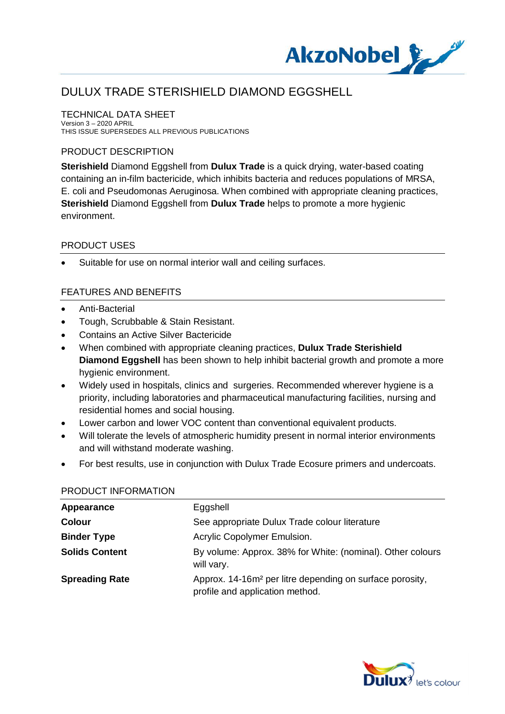

TECHNICAL DATA SHEET Version 3 – 2020 APRIL THIS ISSUE SUPERSEDES ALL PREVIOUS PUBLICATIONS

### PRODUCT DESCRIPTION

**Sterishield** Diamond Eggshell from **Dulux Trade** is a quick drying, water-based coating containing an in-film bactericide, which inhibits bacteria and reduces populations of MRSA, E. coli and Pseudomonas Aeruginosa. When combined with appropriate cleaning practices, **Sterishield** Diamond Eggshell from **Dulux Trade** helps to promote a more hygienic environment.

### PRODUCT USES

Suitable for use on normal interior wall and ceiling surfaces.

### FEATURES AND BENEFITS

- · Anti-Bacterial
- · Tough, Scrubbable & Stain Resistant.
- · Contains an Active Silver Bactericide
- · When combined with appropriate cleaning practices, **Dulux Trade Sterishield Diamond Eggshell** has been shown to help inhibit bacterial growth and promote a more hygienic environment.
- · Widely used in hospitals, clinics and surgeries. Recommended wherever hygiene is a priority, including laboratories and pharmaceutical manufacturing facilities, nursing and residential homes and social housing.
- · Lower carbon and lower VOC content than conventional equivalent products.
- · Will tolerate the levels of atmospheric humidity present in normal interior environments and will withstand moderate washing.
- · For best results, use in conjunction with Dulux Trade Ecosure primers and undercoats.

| Appearance            | Eggshell                                                                                                |
|-----------------------|---------------------------------------------------------------------------------------------------------|
| <b>Colour</b>         | See appropriate Dulux Trade colour literature                                                           |
| <b>Binder Type</b>    | Acrylic Copolymer Emulsion.                                                                             |
| <b>Solids Content</b> | By volume: Approx. 38% for White: (nominal). Other colours<br>will vary.                                |
| <b>Spreading Rate</b> | Approx. 14-16m <sup>2</sup> per litre depending on surface porosity,<br>profile and application method. |

#### PRODUCT INFORMATION

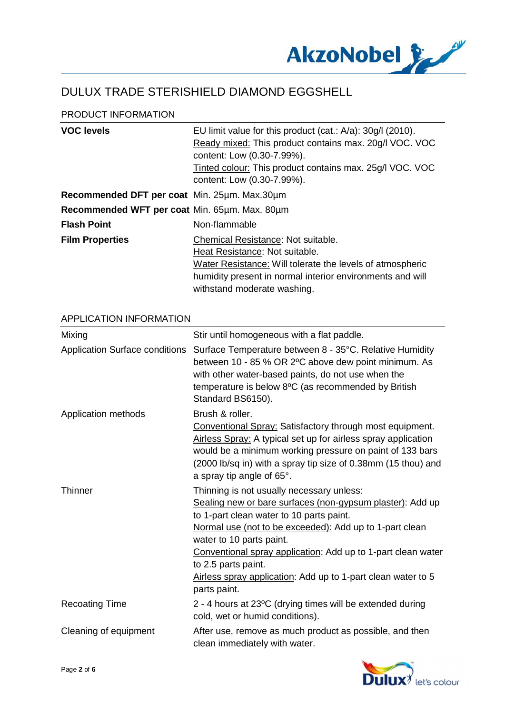

#### PRODUCT INFORMATION

| <b>VOC levels</b>                             | EU limit value for this product (cat.: A/a): 30g/l (2010).<br>Ready mixed: This product contains max. 20g/l VOC. VOC<br>content: Low (0.30-7.99%).<br>Tinted colour: This product contains max. 25g/l VOC. VOC<br>content: Low (0.30-7.99%). |
|-----------------------------------------------|----------------------------------------------------------------------------------------------------------------------------------------------------------------------------------------------------------------------------------------------|
| Recommended DFT per coat Min. 25um. Max.30um  |                                                                                                                                                                                                                                              |
| Recommended WFT per coat Min. 65µm. Max. 80µm |                                                                                                                                                                                                                                              |
| <b>Flash Point</b>                            | Non-flammable                                                                                                                                                                                                                                |
| <b>Film Properties</b>                        | Chemical Resistance: Not suitable.<br>Heat Resistance: Not suitable.<br>Water Resistance: Will tolerate the levels of atmospheric<br>humidity present in normal interior environments and will<br>withstand moderate washing.                |

#### APPLICATION INFORMATION

| Mixing                                | Stir until homogeneous with a flat paddle.                                                                                                                                                                                                                                                                                                                                                                       |
|---------------------------------------|------------------------------------------------------------------------------------------------------------------------------------------------------------------------------------------------------------------------------------------------------------------------------------------------------------------------------------------------------------------------------------------------------------------|
| <b>Application Surface conditions</b> | Surface Temperature between 8 - 35°C. Relative Humidity<br>between 10 - 85 % OR 2°C above dew point minimum. As<br>with other water-based paints, do not use when the<br>temperature is below 8°C (as recommended by British<br>Standard BS6150).                                                                                                                                                                |
| Application methods                   | Brush & roller.<br>Conventional Spray: Satisfactory through most equipment.<br>Airless Spray: A typical set up for airless spray application<br>would be a minimum working pressure on paint of 133 bars<br>(2000 lb/sq in) with a spray tip size of 0.38mm (15 thou) and<br>a spray tip angle of 65°.                                                                                                           |
| <b>Thinner</b>                        | Thinning is not usually necessary unless:<br>Sealing new or bare surfaces (non-gypsum plaster): Add up<br>to 1-part clean water to 10 parts paint.<br>Normal use (not to be exceeded): Add up to 1-part clean<br>water to 10 parts paint.<br>Conventional spray application: Add up to 1-part clean water<br>to 2.5 parts paint.<br>Airless spray application: Add up to 1-part clean water to 5<br>parts paint. |
| <b>Recoating Time</b>                 | 2 - 4 hours at 23°C (drying times will be extended during<br>cold, wet or humid conditions).                                                                                                                                                                                                                                                                                                                     |
| Cleaning of equipment                 | After use, remove as much product as possible, and then<br>clean immediately with water.                                                                                                                                                                                                                                                                                                                         |

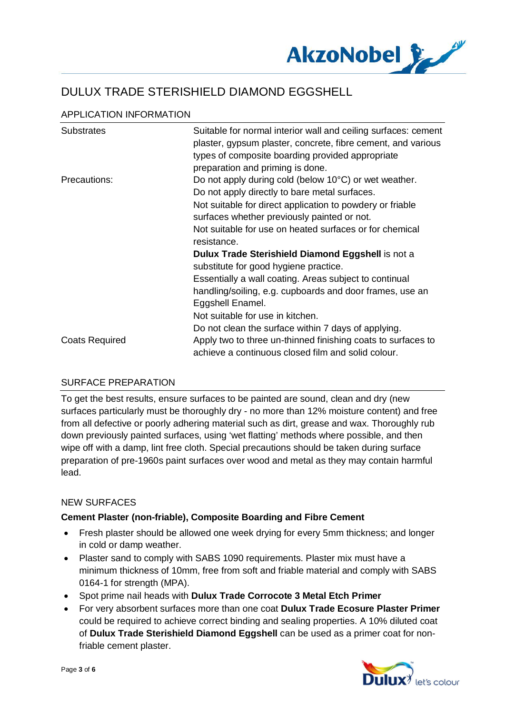

## APPLICATION INFORMATION

| <b>Substrates</b>     | Suitable for normal interior wall and ceiling surfaces: cement<br>plaster, gypsum plaster, concrete, fibre cement, and various<br>types of composite boarding provided appropriate |
|-----------------------|------------------------------------------------------------------------------------------------------------------------------------------------------------------------------------|
|                       | preparation and priming is done.                                                                                                                                                   |
| Precautions:          | Do not apply during cold (below 10°C) or wet weather.                                                                                                                              |
|                       | Do not apply directly to bare metal surfaces.                                                                                                                                      |
|                       | Not suitable for direct application to powdery or friable                                                                                                                          |
|                       | surfaces whether previously painted or not.                                                                                                                                        |
|                       | Not suitable for use on heated surfaces or for chemical                                                                                                                            |
|                       | resistance.                                                                                                                                                                        |
|                       | Dulux Trade Sterishield Diamond Eggshell is not a                                                                                                                                  |
|                       | substitute for good hygiene practice.                                                                                                                                              |
|                       | Essentially a wall coating. Areas subject to continual                                                                                                                             |
|                       | handling/soiling, e.g. cupboards and door frames, use an                                                                                                                           |
|                       | Eggshell Enamel.                                                                                                                                                                   |
|                       | Not suitable for use in kitchen.                                                                                                                                                   |
|                       | Do not clean the surface within 7 days of applying.                                                                                                                                |
| <b>Coats Required</b> | Apply two to three un-thinned finishing coats to surfaces to                                                                                                                       |
|                       | achieve a continuous closed film and solid colour.                                                                                                                                 |

### SURFACE PREPARATION

To get the best results, ensure surfaces to be painted are sound, clean and dry (new surfaces particularly must be thoroughly dry - no more than 12% moisture content) and free from all defective or poorly adhering material such as dirt, grease and wax. Thoroughly rub down previously painted surfaces, using 'wet flatting' methods where possible, and then wipe off with a damp, lint free cloth. Special precautions should be taken during surface preparation of pre-1960s paint surfaces over wood and metal as they may contain harmful lead.

### NEW SURFACES

#### **Cement Plaster (non-friable), Composite Boarding and Fibre Cement**

- · Fresh plaster should be allowed one week drying for every 5mm thickness; and longer in cold or damp weather.
- · Plaster sand to comply with SABS 1090 requirements. Plaster mix must have a minimum thickness of 10mm, free from soft and friable material and comply with SABS 0164-1 for strength (MPA).
- · Spot prime nail heads with **Dulux Trade Corrocote 3 Metal Etch Primer**
- · For very absorbent surfaces more than one coat **Dulux Trade Ecosure Plaster Primer** could be required to achieve correct binding and sealing properties. A 10% diluted coat of **Dulux Trade Sterishield Diamond Eggshell** can be used as a primer coat for nonfriable cement plaster.

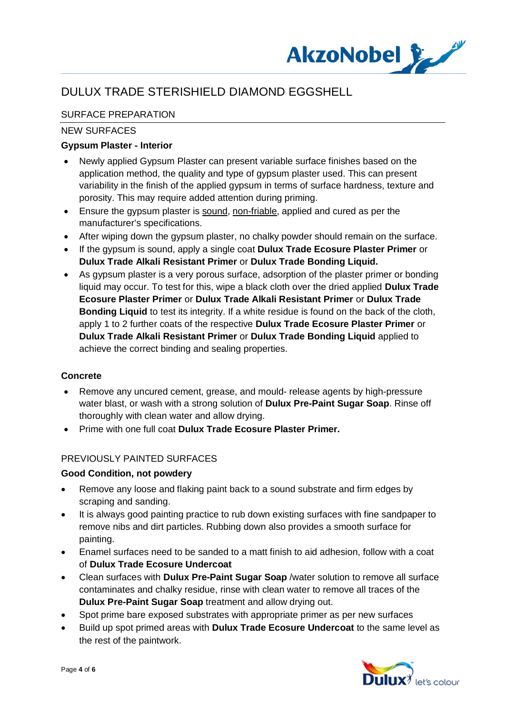

## SURFACE PREPARATION

### NEW SURFACES

### **Gypsum Plaster - Interior**

- Newly applied Gypsum Plaster can present variable surface finishes based on the application method, the quality and type of gypsum plaster used. This can present variability in the finish of the applied gypsum in terms of surface hardness, texture and porosity. This may require added attention during priming.
- · Ensure the gypsum plaster is sound, non-friable, applied and cured as per the manufacturer's specifications.
- After wiping down the gypsum plaster, no chalky powder should remain on the surface.
- · If the gypsum is sound, apply a single coat **Dulux Trade Ecosure Plaster Primer** or **Dulux Trade Alkali Resistant Primer** or **Dulux Trade Bonding Liquid.**
- · As gypsum plaster is a very porous surface, adsorption of the plaster primer or bonding liquid may occur. To test for this, wipe a black cloth over the dried applied **Dulux Trade Ecosure Plaster Primer** or **Dulux Trade Alkali Resistant Primer** or **Dulux Trade Bonding Liquid** to test its integrity. If a white residue is found on the back of the cloth, apply 1 to 2 further coats of the respective **Dulux Trade Ecosure Plaster Primer** or **Dulux Trade Alkali Resistant Primer** or **Dulux Trade Bonding Liquid** applied to achieve the correct binding and sealing properties.

### **Concrete**

- · Remove any uncured cement, grease, and mould- release agents by high-pressure water blast, or wash with a strong solution of **Dulux Pre-Paint Sugar Soap**. Rinse off thoroughly with clean water and allow drying.
- · Prime with one full coat **Dulux Trade Ecosure Plaster Primer.**

### PREVIOUSLY PAINTED SURFACES

### **Good Condition, not powdery**

- · Remove any loose and flaking paint back to a sound substrate and firm edges by scraping and sanding.
- · It is always good painting practice to rub down existing surfaces with fine sandpaper to remove nibs and dirt particles. Rubbing down also provides a smooth surface for painting.
- · Enamel surfaces need to be sanded to a matt finish to aid adhesion, follow with a coat of **Dulux Trade Ecosure Undercoat**
- · Clean surfaces with **Dulux Pre-Paint Sugar Soap** /water solution to remove all surface contaminates and chalky residue, rinse with clean water to remove all traces of the **Dulux Pre-Paint Sugar Soap** treatment and allow drying out.
- Spot prime bare exposed substrates with appropriate primer as per new surfaces
- · Build up spot primed areas with **Dulux Trade Ecosure Undercoat** to the same level as the rest of the paintwork.

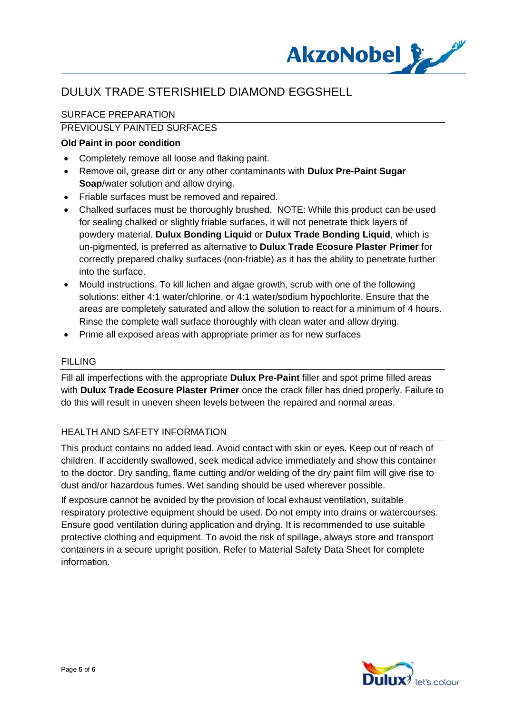

## SURFACE PREPARATION

# PREVIOUSLY PAINTED SURFACES

#### **Old Paint in poor condition**

- · Completely remove all loose and flaking paint.
- · Remove oil, grease dirt or any other contaminants with **Dulux Pre-Paint Sugar Soap**/water solution and allow drying.
- · Friable surfaces must be removed and repaired.
- Chalked surfaces must be thoroughly brushed. NOTE: While this product can be used for sealing chalked or slightly friable surfaces, it will not penetrate thick layers of powdery material. **Dulux Bonding Liquid** or **Dulux Trade Bonding Liquid**, which is un-pigmented, is preferred as alternative to **Dulux Trade Ecosure Plaster Primer** for correctly prepared chalky surfaces (non-friable) as it has the ability to penetrate further into the surface.
- · Mould instructions. To kill lichen and algae growth, scrub with one of the following solutions: either 4:1 water/chlorine, or 4:1 water/sodium hypochlorite. Ensure that the areas are completely saturated and allow the solution to react for a minimum of 4 hours. Rinse the complete wall surface thoroughly with clean water and allow drying.
- · Prime all exposed areas with appropriate primer as for new surfaces

#### FILLING

Fill all imperfections with the appropriate **Dulux Pre-Paint** filler and spot prime filled areas with **Dulux Trade Ecosure Plaster Primer** once the crack filler has dried properly. Failure to do this will result in uneven sheen levels between the repaired and normal areas.

#### HEALTH AND SAFETY INFORMATION

This product contains no added lead. Avoid contact with skin or eyes. Keep out of reach of children. If accidently swallowed, seek medical advice immediately and show this container to the doctor. Dry sanding, flame cutting and/or welding of the dry paint film will give rise to dust and/or hazardous fumes. Wet sanding should be used wherever possible.

If exposure cannot be avoided by the provision of local exhaust ventilation, suitable respiratory protective equipment should be used. Do not empty into drains or watercourses. Ensure good ventilation during application and drying. It is recommended to use suitable protective clothing and equipment. To avoid the risk of spillage, always store and transport containers in a secure upright position. Refer to Material Safety Data Sheet for complete information.